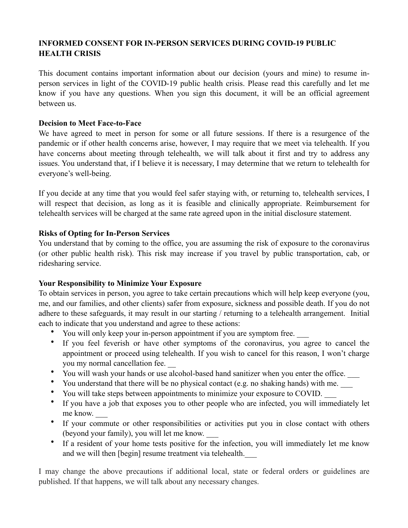# **INFORMED CONSENT FOR IN-PERSON SERVICES DURING COVID-19 PUBLIC HEALTH CRISIS**

This document contains important information about our decision (yours and mine) to resume inperson services in light of the COVID-19 public health crisis. Please read this carefully and let me know if you have any questions. When you sign this document, it will be an official agreement between us.

### **Decision to Meet Face-to-Face**

We have agreed to meet in person for some or all future sessions. If there is a resurgence of the pandemic or if other health concerns arise, however, I may require that we meet via telehealth. If you have concerns about meeting through telehealth, we will talk about it first and try to address any issues. You understand that, if I believe it is necessary, I may determine that we return to telehealth for everyone's well-being.

If you decide at any time that you would feel safer staying with, or returning to, telehealth services, I will respect that decision, as long as it is feasible and clinically appropriate. Reimbursement for telehealth services will be charged at the same rate agreed upon in the initial disclosure statement.

# **Risks of Opting for In-Person Services**

You understand that by coming to the office, you are assuming the risk of exposure to the coronavirus (or other public health risk). This risk may increase if you travel by public transportation, cab, or ridesharing service.

# **Your Responsibility to Minimize Your Exposure**

To obtain services in person, you agree to take certain precautions which will help keep everyone (you, me, and our families, and other clients) safer from exposure, sickness and possible death. If you do not adhere to these safeguards, it may result in our starting / returning to a telehealth arrangement. Initial each to indicate that you understand and agree to these actions:

- You will only keep your in-person appointment if you are symptom free.
- If you feel feverish or have other symptoms of the coronavirus, you agree to cancel the appointment or proceed using telehealth. If you wish to cancel for this reason, I won't charge you my normal cancellation fee.
- You will wash your hands or use alcohol-based hand sanitizer when you enter the office. \_\_\_
- You understand that there will be no physical contact (e.g. no shaking hands) with me. \_\_\_
- You will take steps between appointments to minimize your exposure to COVID. \_\_\_
- If you have a job that exposes you to other people who are infected, you will immediately let me know.
- If your commute or other responsibilities or activities put you in close contact with others (beyond your family), you will let me know. \_\_\_
- If a resident of your home tests positive for the infection, you will immediately let me know and we will then [begin] resume treatment via telehealth.

I may change the above precautions if additional local, state or federal orders or guidelines are published. If that happens, we will talk about any necessary changes.